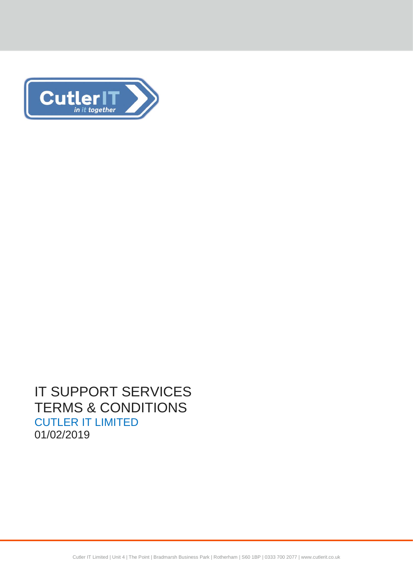

# IT SUPPORT SERVICES TERMS & CONDITIONS CUTLER IT LIMITED 01/02/2019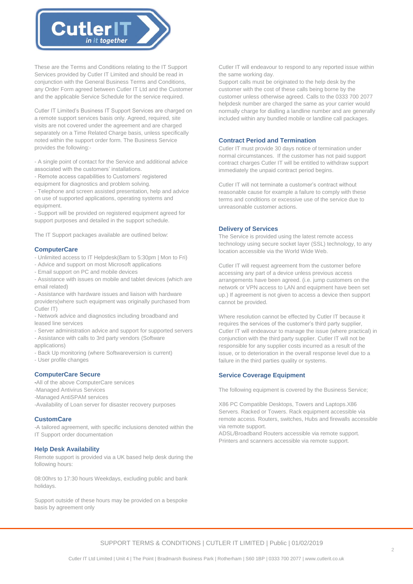

These are the Terms and Conditions relating to the IT Support Services provided by Cutler IT Limited and should be read in conjunction with the General Business Terms and Conditions, any Order Form agreed between Cutler IT Ltd and the Customer and the applicable Service Schedule for the service required.

Cutler IT Limited's Business IT Support Services are charged on a remote support services basis only. Agreed, required, site visits are not covered under the agreement and are charged separately on a Time Related Charge basis, unless specifically noted within the support order form. The Business Service provides the following:-

- A single point of contact for the Service and additional advice associated with the customers' installations.

- Remote access capabilities to Customers' registered equipment for diagnostics and problem solving.

- Telephone and screen assisted presentation, help and advice on use of supported applications, operating systems and equipment.

- Support will be provided on registered equipment agreed for support purposes and detailed in the support schedule.

The IT Support packages available are outlined below:

## **ComputerCare**

- Unlimited access to IT Helpdesk(8am to 5:30pm | Mon to Fri)

- Advice and support on most Microsoft applications
- Email support on PC and mobile devices
- Assistance with issues on mobile and tablet devices (which are email related)

- Assistance with hardware issues and liaison with hardware providers(where such equipment was originally purchased from Cutler IT)

- Network advice and diagnostics including broadband and leased line services

- Server administration advice and support for supported servers

- Assistance with calls to 3rd party vendors (Software applications)

- Back Up monitoring (where Softwareversion is current)

- User profile changes

# **ComputerCare Secure**

-All of the above ComputerCare services -Managed Antivirus Services -Managed AntiSPAM services

-Availability of Loan server for disaster recovery purposes

## **CustomCare**

-A tailored agreement, with specific inclusions denoted within the IT Support order documentation

## **Help Desk Availability**

Remote support is provided via a UK based help desk during the following hours:

08:00hrs to 17:30 hours Weekdays, excluding public and bank holidays.

Support outside of these hours may be provided on a bespoke basis by agreement only

Cutler IT will endeavour to respond to any reported issue within the same working day.

Support calls must be originated to the help desk by the customer with the cost of these calls being borne by the customer unless otherwise agreed. Calls to the 0333 700 2077 helpdesk number are charged the same as your carrier would normally charge for dialling a landline number and are generally included within any bundled mobile or landline call packages.

## **Contract Period and Termination**

Cutler IT must provide 30 days notice of termination under normal circumstances. If the customer has not paid support contract charges Cutler IT will be entitled to withdraw support immediately the unpaid contract period begins.

Cutler IT will not terminate a customer's contract without reasonable cause for example a failure to comply with these terms and conditions or excessive use of the service due to unreasonable customer actions.

## **Delivery of Services**

The Service is provided using the latest remote access technology using secure socket layer (SSL) technology, to any location accessible via the World Wide Web.

Cutler IT will request agreement from the customer before accessing any part of a device unless previous access arrangements have been agreed. (i.e. jump customers on the network or VPN access to LAN and equipment have been set up.) If agreement is not given to access a device then support cannot be provided.

Where resolution cannot be effected by Cutler IT because it requires the services of the customer's third party supplier, Cutler IT will endeavour to manage the issue (where practical) in conjunction with the third party supplier. Cutler IT will not be responsible for any supplier costs incurred as a result of the issue, or to deterioration in the overall response level due to a failure in the third parties quality or systems.

## **Service Coverage Equipment**

The following equipment is covered by the Business Service;

X86 PC Compatible Desktops, Towers and Laptops.X86 Servers. Racked or Towers. Rack equipment accessible via remote access. Routers, switches, Hubs and firewalls accessible via remote support.

ADSL/Broadband Routers accessible via remote support. Printers and scanners accessible via remote support.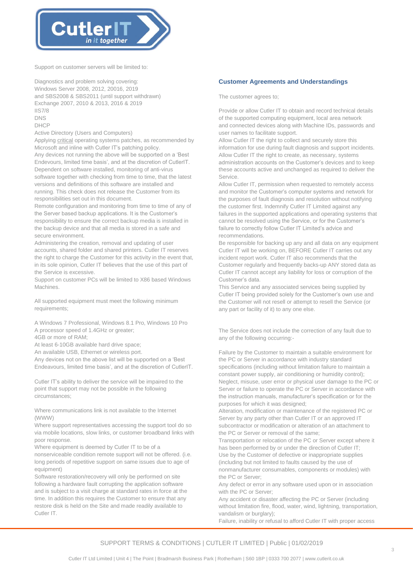

Support on customer servers will be limited to:

Diagnostics and problem solving covering: Windows Server 2008, 2012, 20016, 2019 and SBS2008 & SBS2011 (until support withdrawn) Exchange 2007, 2010 & 2013, 2016 & 2019 IIS7/8 DNS

DHCP

Active Directory (Users and Computers)

Applying critical operating systems patches, as recommended by Microsoft and inline with Cutler IT's patching policy.

Any devices not running the above will be supported on a 'Best Endevours, limited time basis', and at the discretion of CutlerIT. Dependent on software installed, monitoring of anti-virus software together with checking from time to time, that the latest versions and definitions of this software are installed and running. This check does not release the Customer from its responsibilities set out in this document.

Remote configuration and monitoring from time to time of any of the Server based backup applications. It is the Customer's responsibility to ensure the correct backup media is installed in the backup device and that all media is stored in a safe and secure environment.

Administering the creation, removal and updating of user accounts, shared folder and shared printers. Cutler IT reserves the right to charge the Customer for this activity in the event that, in its sole opinion, Cutler IT believes that the use of this part of the Service is excessive.

Support on customer PCs will be limited to X86 based Windows Machines.

All supported equipment must meet the following minimum requirements;

A Windows 7 Professional, Windows 8.1 Pro, Windows 10 Pro A processor speed of 1.4GHz or greater;

4GB or more of RAM;

At least 6-10GB available hard drive space;

An available USB, Ethernet or wireless port.

Any devices not on the above list will be supported on a 'Best Endeavours, limited time basis', and at the discretion of CutlerIT.

Cutler IT's ability to deliver the service will be impaired to the point that support may not be possible in the following circumstances;

Where communications link is not available to the Internet (WWW)

Where support representatives accessing the support tool do so via mobile locations, slow links, or customer broadband links with poor response.

Where equipment is deemed by Cutler IT to be of a nonserviceable condition remote support will not be offered. (i.e. long periods of repetitive support on same issues due to age of equipment)

Software restoration/recovery will only be performed on site following a hardware fault corrupting the application software and is subject to a visit charge at standard rates in force at the time. In addition this requires the Customer to ensure that any restore disk is held on the Site and made readily available to Cutler IT.

## **Customer Agreements and Understandings**

The customer agrees to;

Provide or allow Cutler IT to obtain and record technical details of the supported computing equipment, local area network and connected devices along with Machine IDs, passwords and user names to facilitate support.

Allow Cutler IT the right to collect and securely store this information for use during fault diagnosis and support incidents. Allow Cutler IT the right to create, as necessary, systems administration accounts on the Customer's devices and to keep these accounts active and unchanged as required to deliver the Service.

Allow Cutler IT, permission when requested to remotely access and monitor the Customer's computer systems and network for the purposes of fault diagnosis and resolution without notifying the customer first. Indemnify Cutler IT Limited against any failures in the supported applications and operating systems that cannot be resolved using the Service, or for the Customer's failure to correctly follow Cutler IT Limited's advice and recommendations.

Be responsible for backing up any and all data on any equipment Cutler IT will be working on, BEFORE Cutler IT carries out any incident report work. Cutler IT also recommends that the Customer regularly and frequently backs-up ANY stored data as Cutler IT cannot accept any liability for loss or corruption of the Customer's data.

This Service and any associated services being supplied by Cutler IT being provided solely for the Customer's own use and the Customer will not resell or attempt to resell the Service (or any part or facility of it) to any one else.

The Service does not include the correction of any fault due to any of the following occurring:-

Failure by the Customer to maintain a suitable environment for the PC or Server in accordance with industry standard specifications (including without limitation failure to maintain a constant power supply, air conditioning or humidity control); Neglect, misuse, user error or physical user damage to the PC or Server or failure to operate the PC or Server in accordance with the instruction manuals, manufacturer's specification or for the purposes for which it was designed;

Alteration, modification or maintenance of the registered PC or Server by any party other than Cutler IT or an approved IT subcontractor or modification or alteration of an attachment to the PC or Server or removal of the same;

Transportation or relocation of the PC or Server except where it has been performed by or under the direction of Cutler IT; Use by the Customer of defective or inappropriate supplies (including but not limited to faults caused by the use of nonmanufacturer consumables, components or modules) with the PC or Server;

Any defect or error in any software used upon or in association with the PC or Server:

Any accident or disaster affecting the PC or Server (including without limitation fire, flood, water, wind, lightning, transportation, vandalism or burglary);

Failure, inability or refusal to afford Cutler IT with proper access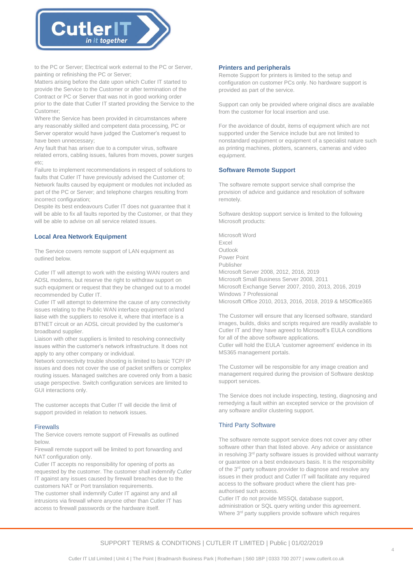

to the PC or Server; Electrical work external to the PC or Server, painting or refinishing the PC or Server;

Matters arising before the date upon which Cutler IT started to provide the Service to the Customer or after termination of the Contract or PC or Server that was not in good working order prior to the date that Cutler IT started providing the Service to the Customer;

Where the Service has been provided in circumstances where any reasonably skilled and competent data processing, PC or Server operator would have judged the Customer's request to have been unnecessary;

Any fault that has arisen due to a computer virus, software related errors, cabling issues, failures from moves, power surges  $\rho$ tc;

Failure to implement recommendations in respect of solutions to faults that Cutler IT have previously advised the Customer of; Network faults caused by equipment or modules not included as part of the PC or Server; and telephone charges resulting from incorrect configuration;

Despite its best endeavours Cutler IT does not guarantee that it will be able to fix all faults reported by the Customer, or that they will be able to advise on all service related issues.

## **Local Area Network Equipment**

The Service covers remote support of LAN equipment as outlined below.

Cutler IT will attempt to work with the existing WAN routers and ADSL modems, but reserve the right to withdraw support on such equipment or request that they be changed out to a model recommended by Cutler IT.

Cutler IT will attempt to determine the cause of any connectivity issues relating to the Public WAN interface equipment or/and liaise with the suppliers to resolve it, where that interface is a BTNET circuit or an ADSL circuit provided by the customer's broadband supplier.

Liaison with other suppliers is limited to resolving connectivity issues within the customer's network infrastructure. It does not apply to any other company or individual.

Network connectivity trouble shooting is limited to basic TCP/ IP issues and does not cover the use of packet sniffers or complex routing issues. Managed switches are covered only from a basic usage perspective. Switch configuration services are limited to GUI interactions only.

The customer accepts that Cutler IT will decide the limit of support provided in relation to network issues.

#### **Firewalls**

The Service covers remote support of Firewalls as outlined below.

Firewall remote support will be limited to port forwarding and NAT configuration only.

Cutler IT accepts no responsibility for opening of ports as requested by the customer. The customer shall indemnify Cutler IT against any issues caused by firewall breaches due to the customers NAT or Port translation requirements.

The customer shall indemnify Cutler IT against any and all intrusions via firewall where anyone other than Cutler IT has access to firewall passwords or the hardware itself.

#### **Printers and peripherals**

Remote Support for printers is limited to the setup and configuration on customer PCs only. No hardware support is provided as part of the service.

Support can only be provided where original discs are available from the customer for local insertion and use.

For the avoidance of doubt, items of equipment which are not supported under the Service include but are not limited to nonstandard equipment or equipment of a specialist nature such as printing machines, plotters, scanners, cameras and video equipment.

## **Software Remote Support**

The software remote support service shall comprise the provision of advice and guidance and resolution of software remotely.

Software desktop support service is limited to the following Microsoft products:

Microsoft Word Excel Outlook Power Point Publisher Microsoft Server 2008, 2012, 2016, 2019 Microsoft Small Business Server 2008, 2011 Microsoft Exchange Server 2007, 2010, 2013, 2016, 2019 Windows 7 Professional Microsoft Office 2010, 2013, 2016, 2018, 2019 & MSOffice365

The Customer will ensure that any licensed software, standard images, builds, disks and scripts required are readily available to Cutler IT and they have agreed to Microsoft's EULA conditions for all of the above software applications. Cutler will hold the EULA 'customer agreement' evidence in its MS365 management portals.

The Customer will be responsible for any image creation and management required during the provision of Software desktop support services.

The Service does not include inspecting, testing, diagnosing and remedying a fault within an excepted service or the provision of any software and/or clustering support.

## Third Party Software

The software remote support service does not cover any other software other than that listed above. Any advice or assistance in resolving 3<sup>rd</sup> party software issues is provided without warranty or guarantee on a best endeavours basis. It is the responsibility of the 3<sup>rd</sup> party software provider to diagnose and resolve any issues in their product and Cutler IT will facilitate any required access to the software product where the client has preauthorised such access.

Cutler IT do not provide MSSQL database support, administration or SQL query writing under this agreement. Where 3<sup>rd</sup> party suppliers provide software which requires